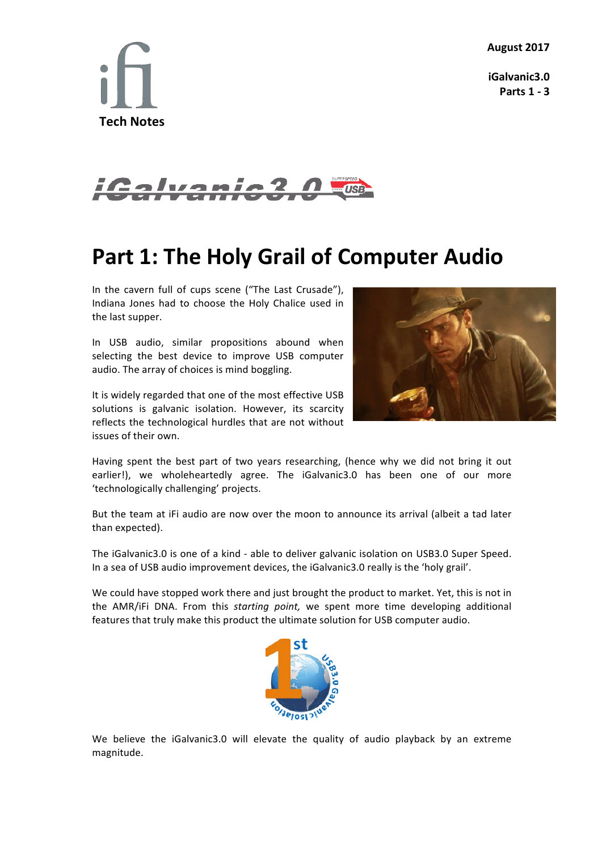**iGalvanic3.0 Parts 1 - 3**





# **Part 1: The Holy Grail of Computer Audio**

In the cavern full of cups scene ("The Last Crusade"), Indiana Jones had to choose the Holy Chalice used in the last supper.

In USB audio, similar propositions abound when selecting the best device to improve USB computer audio. The array of choices is mind boggling.

It is widely regarded that one of the most effective USB solutions is galvanic isolation. However, its scarcity reflects the technological hurdles that are not without issues of their own.



Having spent the best part of two years researching, (hence why we did not bring it out earlier!), we wholeheartedly agree. The iGalvanic3.0 has been one of our more 'technologically challenging' projects.

But the team at iFi audio are now over the moon to announce its arrival (albeit a tad later than expected).

The iGalvanic3.0 is one of a kind - able to deliver galvanic isolation on USB3.0 Super Speed. In a sea of USB audio improvement devices, the iGalvanic3.0 really is the 'holy grail'.

We could have stopped work there and just brought the product to market. Yet, this is not in the AMR/iFi DNA. From this *starting point,* we spent more time developing additional features that truly make this product the ultimate solution for USB computer audio.



We believe the iGalvanic3.0 will elevate the quality of audio playback by an extreme magnitude.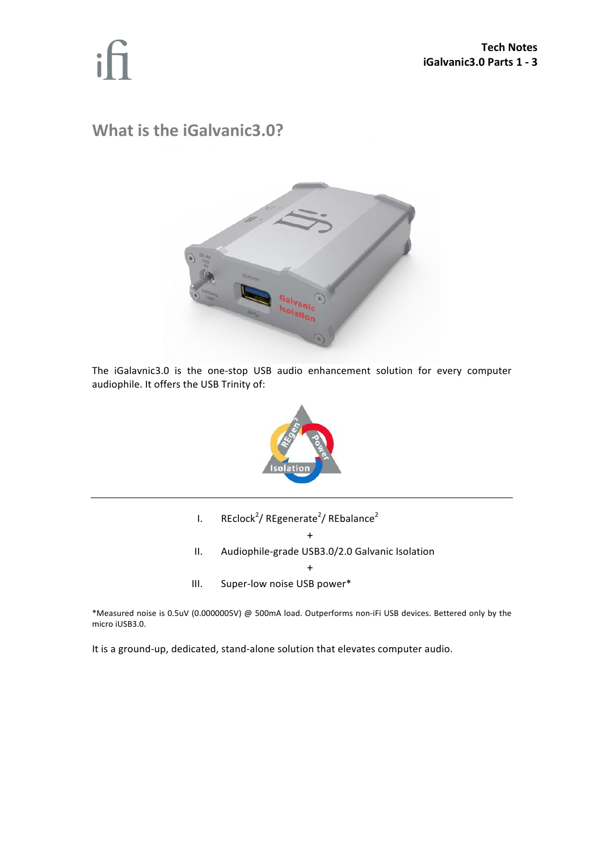# $\ddot{\phantom{a}}$

## **What is the iGalvanic3.0?**



The iGalavnic3.0 is the one-stop USB audio enhancement solution for every computer audiophile. It offers the USB Trinity of:



- I. REclock<sup>2</sup>/ REgenerate<sup>2</sup>/ REbalance<sup>2</sup>
- + II. Audiophile-grade USB3.0/2.0 Galvanic Isolation
- + III. Super-low noise USB power\*

\*Measured noise is 0.5uV (0.0000005V) @ 500mA load. Outperforms non-iFi USB devices. Bettered only by the micro iUSB3.0.

It is a ground-up, dedicated, stand-alone solution that elevates computer audio.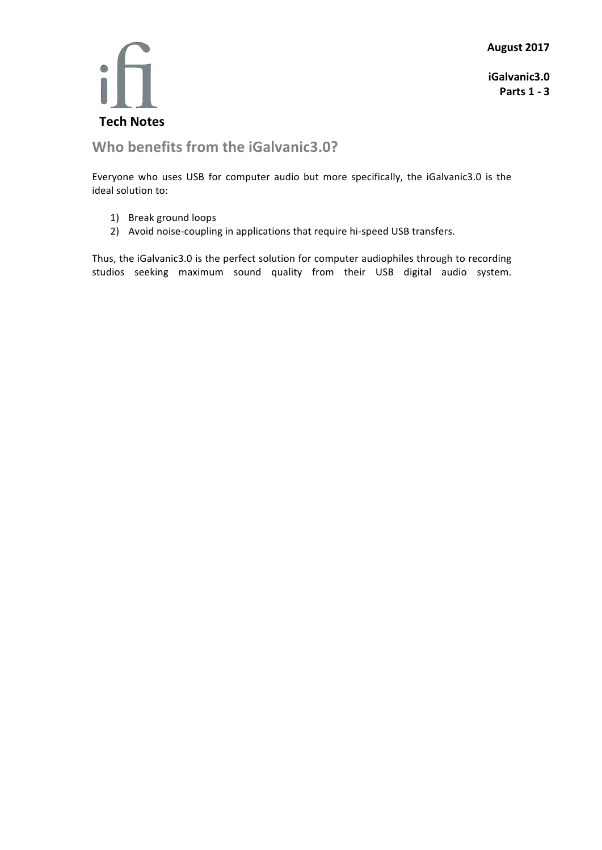**iGalvanic3.0 Parts 1 - 3**



## **Who benefits from the iGalvanic3.0?**

Everyone who uses USB for computer audio but more specifically, the iGalvanic3.0 is the ideal solution to:

- 1) Break ground loops
- 2) Avoid noise-coupling in applications that require hi-speed USB transfers.

Thus, the iGalvanic3.0 is the perfect solution for computer audiophiles through to recording studios seeking maximum sound quality from their USB digital audio system.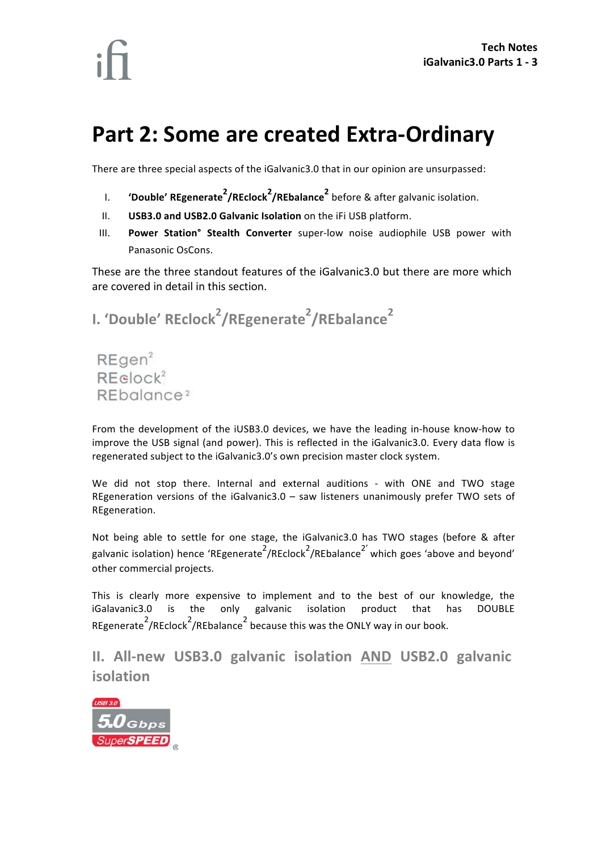# **Part 2: Some are created Extra-Ordinary**

There are three special aspects of the iGalvanic3.0 that in our opinion are unsurpassed:

- I. **'Double' REgenerate<sup>2</sup> /REclock<sup>2</sup> /REbalance<sup>2</sup>** before & after galvanic isolation.
- II. **USB3.0 and USB2.0 Galvanic Isolation** on the IFI USB platform.
- III. **Power Station° Stealth Converter** super-low noise audiophile USB power with Panasonic OsCons.

These are the three standout features of the iGalvanic3.0 but there are more which are covered in detail in this section.

**I. 'Double' REclock<sup>2</sup> /REgenerate<sup>2</sup> /REbalance<sup>2</sup>**

 $REgen<sup>2</sup>$  $REelock<sup>2</sup>$ REbalance<sup>2</sup>

From the development of the iUSB3.0 devices, we have the leading in-house know-how to improve the USB signal (and power). This is reflected in the iGalvanic3.0. Every data flow is regenerated subject to the iGalvanic3.0's own precision master clock system.

We did not stop there. Internal and external auditions - with ONE and TWO stage REgeneration versions of the iGalvanic3.0 – saw listeners unanimously prefer TWO sets of REgeneration.

Not being able to settle for one stage, the iGalvanic3.0 has TWO stages (before & after galvanic isolation) hence 'REgenerate<sup>2</sup>/REclock<sup>2</sup>/REbalance<sup>2'</sup> which goes 'above and beyond' other commercial projects.

This is clearly more expensive to implement and to the best of our knowledge, the iGalavanic3.0 is the only galvanic isolation product that has DOUBLE REgenerate<sup>2</sup>/REclock<sup>2</sup>/REbalance<sup>2</sup> because this was the ONLY way in our book.

**II. All-new USB3.0 galvanic isolation AND USB2.0 galvanic isolation**

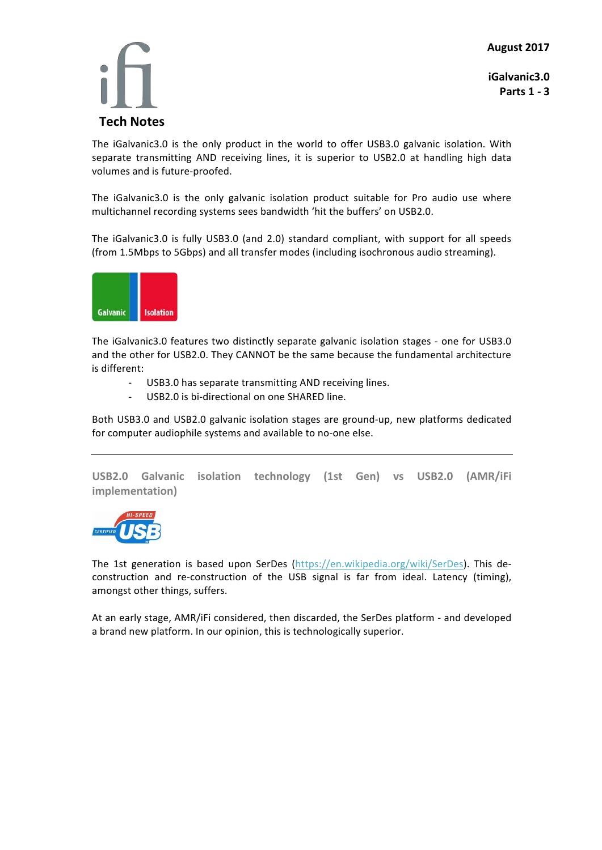

**iGalvanic3.0 Parts 1 - 3**

The iGalvanic3.0 is the only product in the world to offer USB3.0 galvanic isolation. With separate transmitting AND receiving lines, it is superior to USB2.0 at handling high data volumes and is future-proofed.

The iGalvanic3.0 is the only galvanic isolation product suitable for Pro audio use where multichannel recording systems sees bandwidth 'hit the buffers' on USB2.0.

The iGalvanic3.0 is fully USB3.0 (and 2.0) standard compliant, with support for all speeds (from 1.5Mbps to 5Gbps) and all transfer modes (including isochronous audio streaming).



The iGalvanic3.0 features two distinctly separate galvanic isolation stages - one for USB3.0 and the other for USB2.0. They CANNOT be the same because the fundamental architecture is different:

- USB3.0 has separate transmitting AND receiving lines.
- USB2.0 is bi-directional on one SHARED line.

Both USB3.0 and USB2.0 galvanic isolation stages are ground-up, new platforms dedicated for computer audiophile systems and available to no-one else.

**USB2.0 Galvanic isolation technology (1st Gen) vs USB2.0 (AMR/iFi implementation)**



The 1st generation is based upon SerDes (https://en.wikipedia.org/wiki/SerDes). This deconstruction and re-construction of the USB signal is far from ideal. Latency (timing), amongst other things, suffers.

At an early stage, AMR/iFi considered, then discarded, the SerDes platform - and developed a brand new platform. In our opinion, this is technologically superior.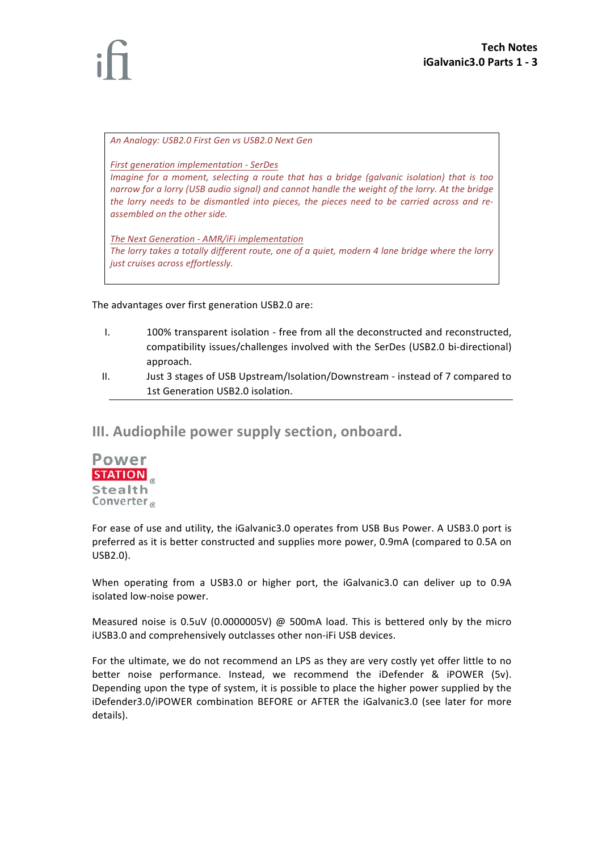*An Analogy: USB2.0 First Gen vs USB2.0 Next Gen*

*First generation implementation - SerDes*

*Imagine for a moment, selecting a route that has a bridge (galvanic isolation) that is too narrow for a lorry (USB audio signal) and cannot handle the weight of the lorry. At the bridge the lorry needs to be dismantled into pieces, the pieces need to be carried across and reassembled on the other side.*

*The Next Generation - AMR/iFi implementation The lorry takes a totally different route, one of a quiet, modern 4 lane bridge where the lorry just cruises across effortlessly.*

The advantages over first generation USB2.0 are:

- I. 100% transparent isolation free from all the deconstructed and reconstructed, compatibility issues/challenges involved with the SerDes (USB2.0 bi-directional) approach.
- II. Just 3 stages of USB Upstream/Isolation/Downstream instead of 7 compared to 1st Generation USB2.0 isolation.

## **III. Audiophile power supply section, onboard.**



For ease of use and utility, the iGalvanic3.0 operates from USB Bus Power. A USB3.0 port is preferred as it is better constructed and supplies more power, 0.9mA (compared to 0.5A on USB2.0).

When operating from a USB3.0 or higher port, the iGalvanic3.0 can deliver up to 0.9A isolated low-noise power.

Measured noise is 0.5uV (0.0000005V) @ 500mA load. This is bettered only by the micro iUSB3.0 and comprehensively outclasses other non-iFi USB devices.

For the ultimate, we do not recommend an LPS as they are very costly yet offer little to no better noise performance. Instead, we recommend the iDefender & iPOWER (5v). Depending upon the type of system, it is possible to place the higher power supplied by the iDefender3.0/iPOWER combination BEFORE or AFTER the iGalvanic3.0 (see later for more details).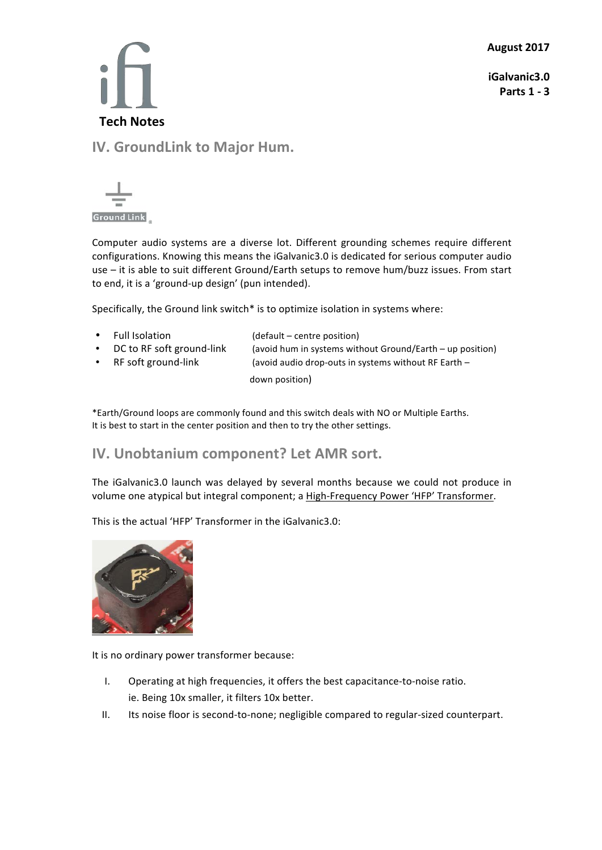**iGalvanic3.0 Parts 1 - 3**



**IV. GroundLink to Major Hum.**



Computer audio systems are a diverse lot. Different grounding schemes require different configurations. Knowing this means the iGalvanic3.0 is dedicated for serious computer audio use – it is able to suit different Ground/Earth setups to remove hum/buzz issues. From start to end, it is a 'ground-up design' (pun intended).

Specifically, the Ground link switch\* is to optimize isolation in systems where:

| $\bullet$ | <b>Full Isolation</b>     | (default – centre position)                               |
|-----------|---------------------------|-----------------------------------------------------------|
| $\bullet$ | DC to RF soft ground-link | (avoid hum in systems without Ground/Earth – up position) |
| $\bullet$ | RF soft ground-link       | (avoid audio drop-outs in systems without RF Earth -      |
|           |                           | down position)                                            |

\*Earth/Ground loops are commonly found and this switch deals with NO or Multiple Earths. It is best to start in the center position and then to try the other settings.

## **IV. Unobtanium component? Let AMR sort.**

The iGalvanic3.0 launch was delayed by several months because we could not produce in volume one atypical but integral component; a High-Frequency Power 'HFP' Transformer.

This is the actual 'HFP' Transformer in the iGalvanic3.0:



It is no ordinary power transformer because:

- I. Operating at high frequencies, it offers the best capacitance-to-noise ratio. ie. Being 10x smaller, it filters 10x better.
- II. Its noise floor is second-to-none; negligible compared to regular-sized counterpart.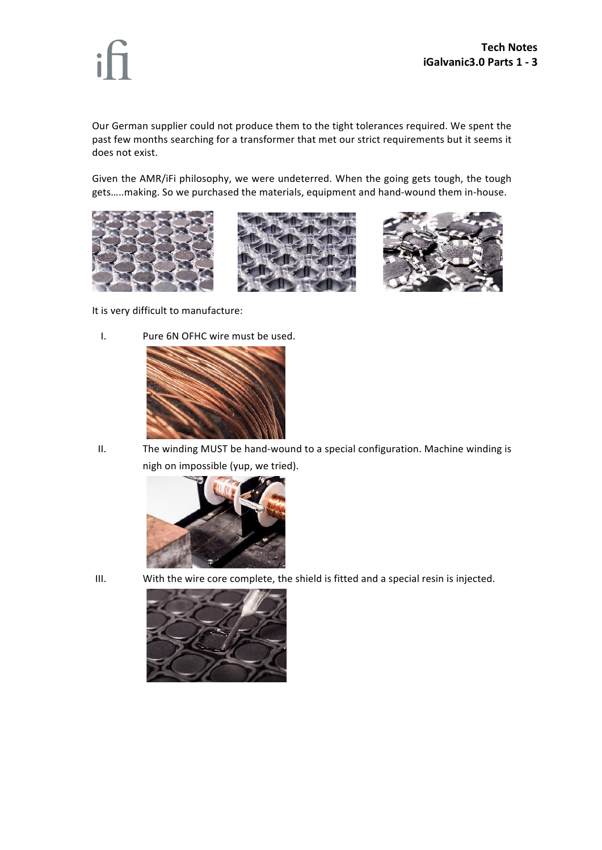Our German supplier could not produce them to the tight tolerances required. We spent the past few months searching for a transformer that met our strict requirements but it seems it does not exist.

Given the AMR/iFi philosophy, we were undeterred. When the going gets tough, the tough gets…..making. So we purchased the materials, equipment and hand-wound them in-house.







It is very difficult to manufacture:

I. Pure 6N OFHC wire must be used.



II. The winding MUST be hand-wound to a special configuration. Machine winding is nigh on impossible (yup, we tried).



III. With the wire core complete, the shield is fitted and a special resin is injected.

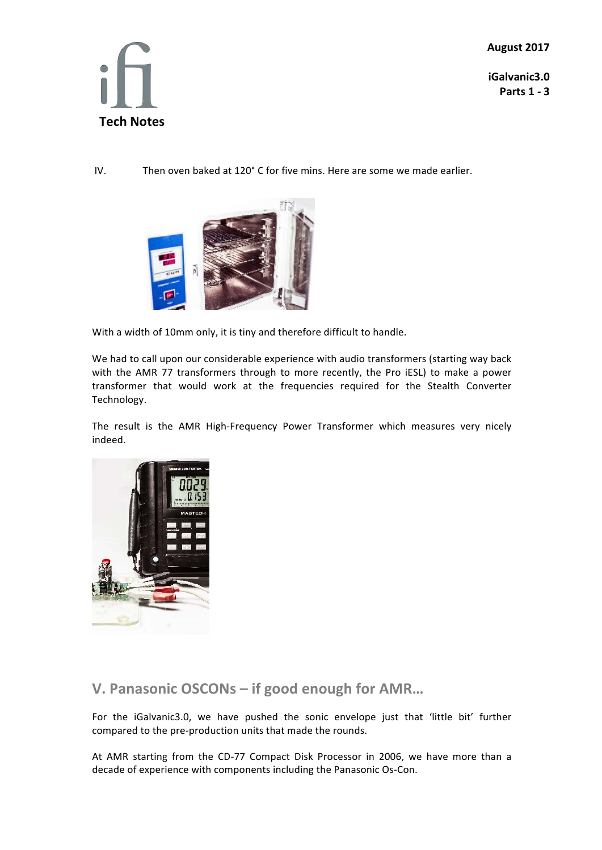**iGalvanic3.0 Parts 1 - 3**



IV. Then oven baked at 120° C for five mins. Here are some we made earlier.



With a width of 10mm only, it is tiny and therefore difficult to handle.

We had to call upon our considerable experience with audio transformers (starting way back with the AMR 77 transformers through to more recently, the Pro iESL) to make a power transformer that would work at the frequencies required for the Stealth Converter Technology.

The result is the AMR High-Frequency Power Transformer which measures very nicely indeed.



**V. Panasonic OSCONs – if good enough for AMR…**

For the iGalvanic3.0, we have pushed the sonic envelope just that 'little bit' further compared to the pre-production units that made the rounds.

At AMR starting from the CD-77 Compact Disk Processor in 2006, we have more than a decade of experience with components including the Panasonic Os-Con.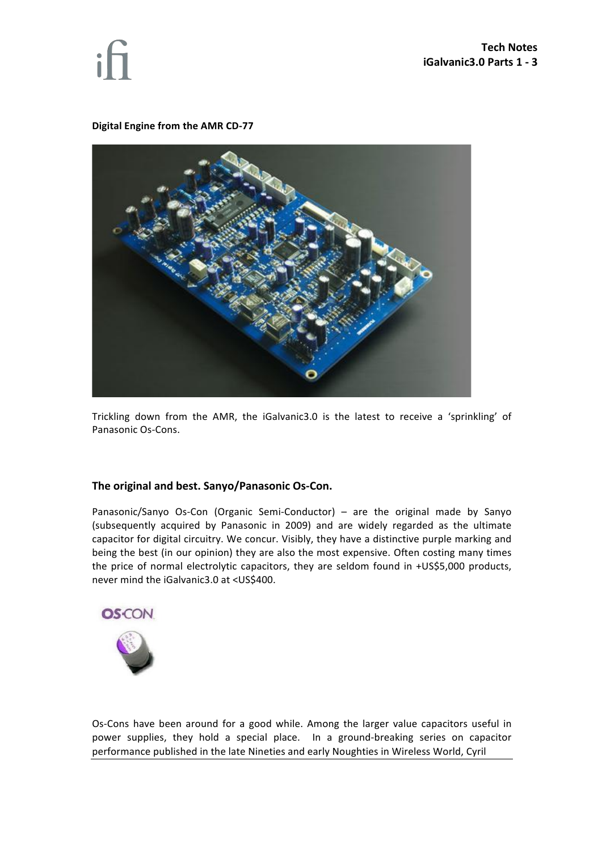#### **Digital Engine from the AMR CD-77**



Trickling down from the AMR, the iGalvanic3.0 is the latest to receive a 'sprinkling' of Panasonic Os-Cons.

#### **The original and best. Sanyo/Panasonic Os-Con.**

Panasonic/Sanyo Os-Con (Organic Semi-Conductor) – are the original made by Sanyo (subsequently acquired by Panasonic in 2009) and are widely regarded as the ultimate capacitor for digital circuitry. We concur. Visibly, they have a distinctive purple marking and being the best (in our opinion) they are also the most expensive. Often costing many times the price of normal electrolytic capacitors, they are seldom found in +US\$5,000 products, never mind the iGalvanic3.0 at <US\$400.



Os-Cons have been around for a good while. Among the larger value capacitors useful in power supplies, they hold a special place. In a ground-breaking series on capacitor performance published in the late Nineties and early Noughties in Wireless World, Cyril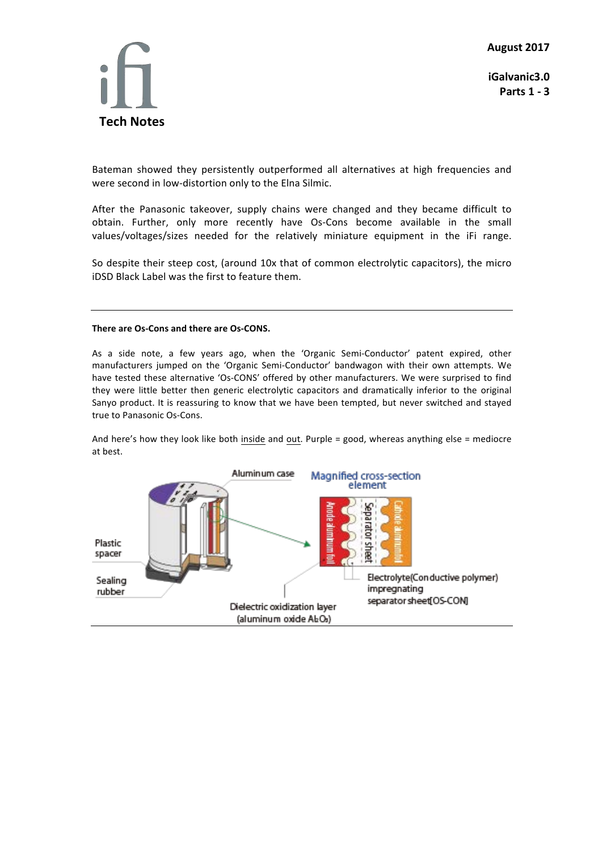**iGalvanic3.0 Parts 1 - 3**



Bateman showed they persistently outperformed all alternatives at high frequencies and were second in low-distortion only to the Elna Silmic.

After the Panasonic takeover, supply chains were changed and they became difficult to obtain. Further, only more recently have Os-Cons become available in the small values/voltages/sizes needed for the relatively miniature equipment in the iFi range.

So despite their steep cost, (around 10x that of common electrolytic capacitors), the micro iDSD Black Label was the first to feature them.

#### **There are Os-Cons and there are Os-CONS.**

As a side note, a few years ago, when the 'Organic Semi-Conductor' patent expired, other manufacturers jumped on the 'Organic Semi-Conductor' bandwagon with their own attempts. We have tested these alternative 'Os-CONS' offered by other manufacturers. We were surprised to find they were little better then generic electrolytic capacitors and dramatically inferior to the original Sanyo product. It is reassuring to know that we have been tempted, but never switched and stayed true to Panasonic Os-Cons.

And here's how they look like both inside and out. Purple = good, whereas anything else = mediocre at best.

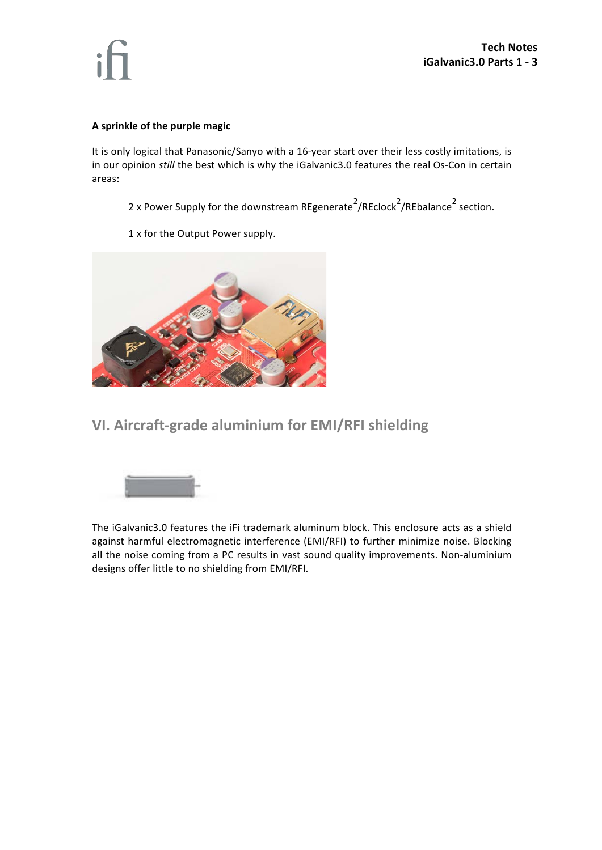### **A sprinkle of the purple magic**

It is only logical that Panasonic/Sanyo with a 16-year start over their less costly imitations, is in our opinion *still* the best which is why the iGalvanic3.0 features the real Os-Con in certain areas:

2 x Power Supply for the downstream REgenerate<sup>2</sup>/REclock<sup>2</sup>/REbalance<sup>2</sup> section.

1 x for the Output Power supply.



**VI. Aircraft-grade aluminium for EMI/RFI shielding**



The iGalvanic3.0 features the iFi trademark aluminum block. This enclosure acts as a shield against harmful electromagnetic interference (EMI/RFI) to further minimize noise. Blocking all the noise coming from a PC results in vast sound quality improvements. Non-aluminium designs offer little to no shielding from EMI/RFI.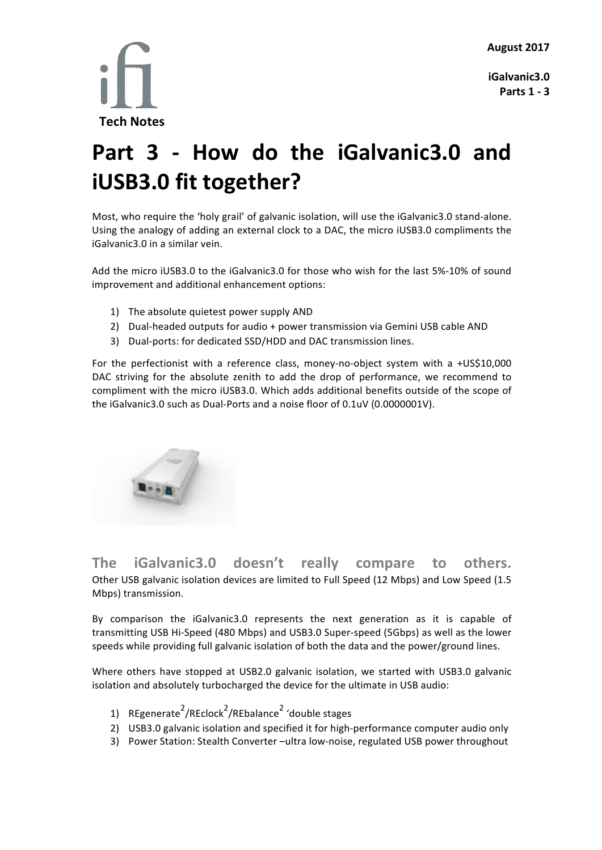**iGalvanic3.0 Parts 1 - 3**



# **Part 3 - How do the iGalvanic3.0 and iUSB3.0 fit together?**

Most, who require the 'holy grail' of galvanic isolation, will use the iGalvanic3.0 stand-alone. Using the analogy of adding an external clock to a DAC, the micro iUSB3.0 compliments the iGalvanic3.0 in a similar vein.

Add the micro iUSB3.0 to the iGalvanic3.0 for those who wish for the last 5%-10% of sound improvement and additional enhancement options:

- 1) The absolute quietest power supply AND
- 2) Dual-headed outputs for audio + power transmission via Gemini USB cable AND
- 3) Dual-ports: for dedicated SSD/HDD and DAC transmission lines.

For the perfectionist with a reference class, money-no-object system with a +US\$10,000 DAC striving for the absolute zenith to add the drop of performance, we recommend to compliment with the micro iUSB3.0. Which adds additional benefits outside of the scope of the iGalvanic3.0 such as Dual-Ports and a noise floor of 0.1uV (0.0000001V).



**The iGalvanic3.0 doesn't really compare to others.** Other USB galvanic isolation devices are limited to Full Speed (12 Mbps) and Low Speed (1.5 Mbps) transmission.

By comparison the iGalvanic3.0 represents the next generation as it is capable of transmitting USB Hi-Speed (480 Mbps) and USB3.0 Super-speed (5Gbps) as well as the lower speeds while providing full galvanic isolation of both the data and the power/ground lines.

Where others have stopped at USB2.0 galvanic isolation, we started with USB3.0 galvanic isolation and absolutely turbocharged the device for the ultimate in USB audio:

- 1) REgenerate<sup>2</sup>/REclock<sup>2</sup>/REbalance<sup>2</sup> 'double stages
- 2) USB3.0 galvanic isolation and specified it for high-performance computer audio only
- 3) Power Station: Stealth Converter -ultra low-noise, regulated USB power throughout